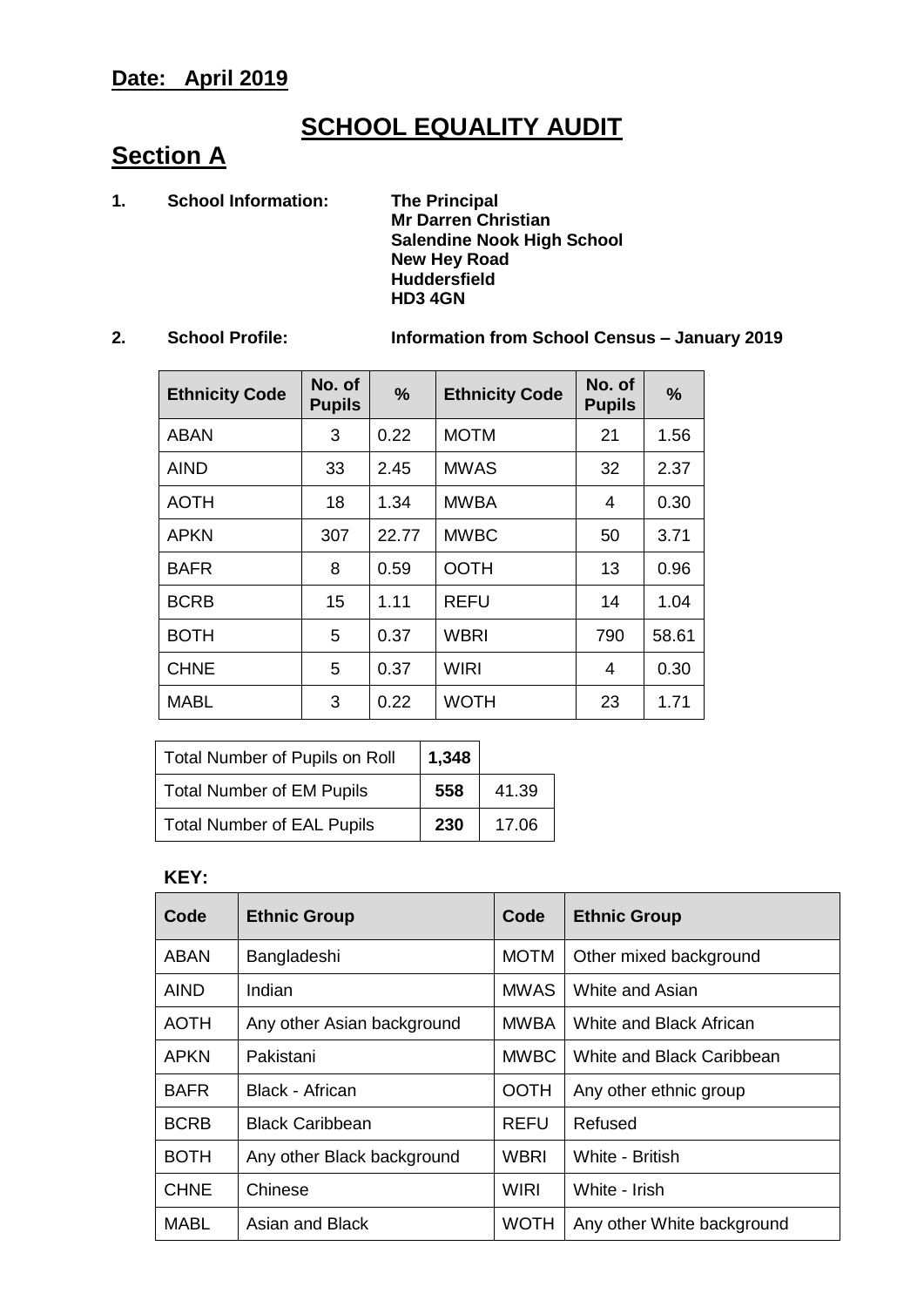# **SCHOOL EQUALITY AUDIT**

# **Section A**

**1. School Information: The Principal**

**Mr Darren Christian Salendine Nook High School New Hey Road Huddersfield HD3 4GN** 

**2. School Profile: Information from School Census – January 2019**

| <b>Ethnicity Code</b> | No. of<br><b>Pupils</b> | $\frac{9}{6}$ | <b>Ethnicity Code</b> | No. of<br><b>Pupils</b> | $\frac{0}{0}$ |
|-----------------------|-------------------------|---------------|-----------------------|-------------------------|---------------|
| <b>ABAN</b>           | 3                       | 0.22          | <b>MOTM</b>           | 21                      | 1.56          |
| <b>AIND</b>           | 33                      | 2.45          | <b>MWAS</b>           | 32                      | 2.37          |
| <b>AOTH</b>           | 18                      | 1.34          | <b>MWBA</b>           | 4                       | 0.30          |
| <b>APKN</b>           | 307                     | 22.77         | <b>MWBC</b>           | 50                      | 3.71          |
| <b>BAFR</b>           | 8                       | 0.59          | <b>OOTH</b>           | 13                      | 0.96          |
| <b>BCRB</b>           | 15                      | 1.11          | <b>REFU</b>           | 14                      | 1.04          |
| <b>BOTH</b>           | 5                       | 0.37          | <b>WBRI</b>           | 790                     | 58.61         |
| <b>CHNE</b>           | 5                       | 0.37          | <b>WIRI</b>           | 4                       | 0.30          |
| <b>MABL</b>           | 3                       | 0.22          | <b>WOTH</b>           | 23                      | 1.71          |

| Total Number of Pupils on Roll    | 1,348 |       |
|-----------------------------------|-------|-------|
| <b>Total Number of EM Pupils</b>  | 558   | 41.39 |
| <b>Total Number of EAL Pupils</b> | 230   | 17.06 |

#### **KEY:**

| Code        | <b>Ethnic Group</b>        | Code        | <b>Ethnic Group</b>        |
|-------------|----------------------------|-------------|----------------------------|
| ABAN        | Bangladeshi                | <b>MOTM</b> | Other mixed background     |
| AIND        | Indian                     | <b>MWAS</b> | White and Asian            |
| <b>AOTH</b> | Any other Asian background | <b>MWBA</b> | White and Black African    |
| <b>APKN</b> | Pakistani                  | <b>MWBC</b> | White and Black Caribbean  |
| <b>BAFR</b> | Black - African            | <b>OOTH</b> | Any other ethnic group     |
| <b>BCRB</b> | <b>Black Caribbean</b>     | <b>REFU</b> | Refused                    |
| <b>BOTH</b> | Any other Black background | WBRI        | White - British            |
| <b>CHNE</b> | Chinese                    | <b>WIRI</b> | White - Irish              |
| MABL        | Asian and Black            | <b>WOTH</b> | Any other White background |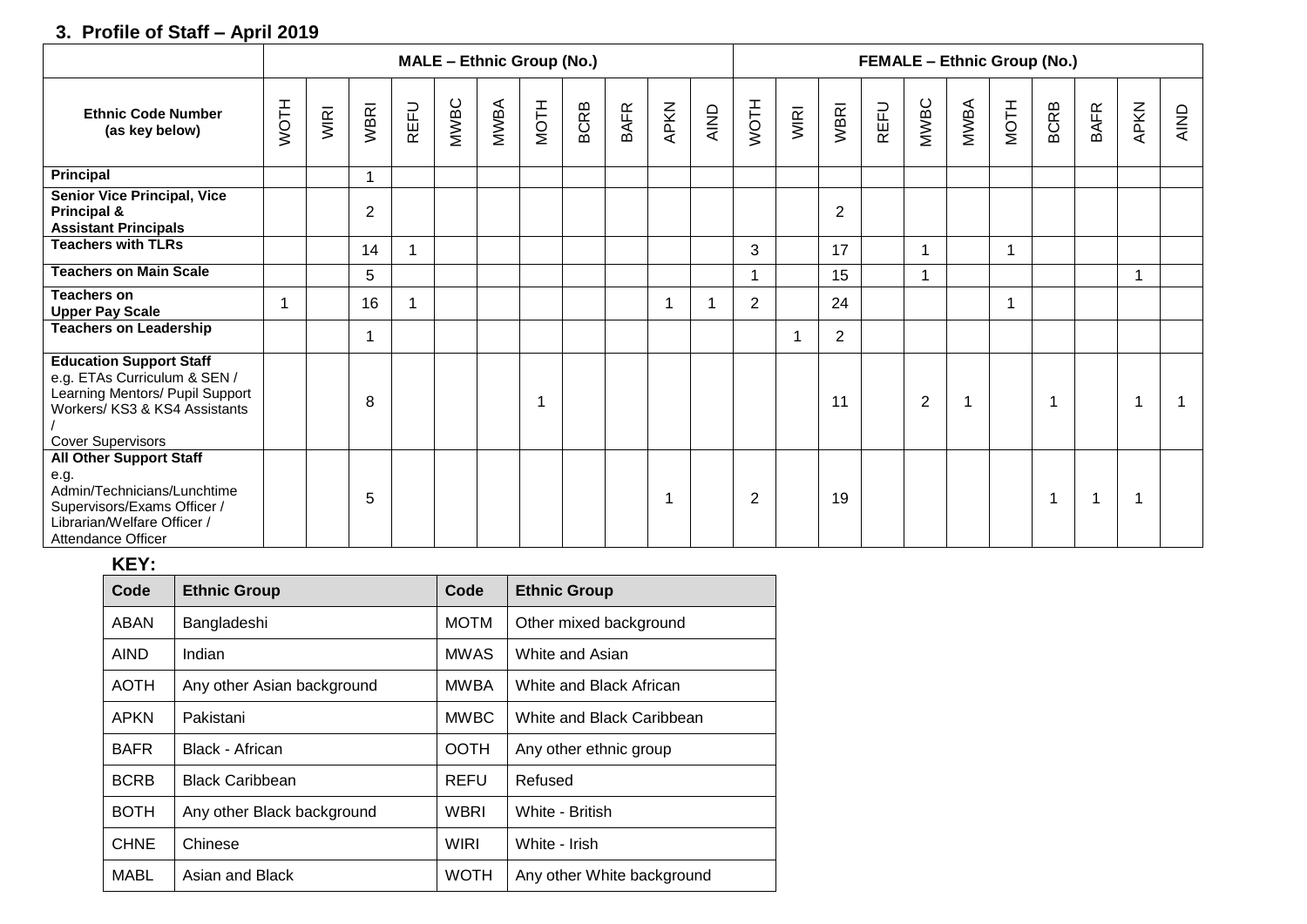### **3. Profile of Staff – April 2019**

|                                                                                                                                                                | <b>MALE - Ethnic Group (No.)</b> |      |                |      |      |      |      |             |             | <b>FEMALE - Ethnic Group (No.)</b> |                |                |      |                |             |                |      |             |             |             |      |      |
|----------------------------------------------------------------------------------------------------------------------------------------------------------------|----------------------------------|------|----------------|------|------|------|------|-------------|-------------|------------------------------------|----------------|----------------|------|----------------|-------------|----------------|------|-------------|-------------|-------------|------|------|
| <b>Ethnic Code Number</b><br>(as key below)                                                                                                                    | <b>NOTH</b>                      | WIRI | <b>WBRI</b>    | REFU | MWBC | MWBA | NOTH | <b>BCRB</b> | <b>BAFR</b> | APKN                               | AIND           | WOTH           | WIRI | <b>WBRI</b>    | <b>REFU</b> | MWBC           | MWBA | <b>NOTH</b> | <b>BCRB</b> | <b>BAFR</b> | APKN | AIND |
| Principal                                                                                                                                                      |                                  |      | $\mathbf 1$    |      |      |      |      |             |             |                                    |                |                |      |                |             |                |      |             |             |             |      |      |
| <b>Senior Vice Principal, Vice</b><br>Principal &<br><b>Assistant Principals</b>                                                                               |                                  |      | $\overline{2}$ |      |      |      |      |             |             |                                    |                |                |      | $\overline{2}$ |             |                |      |             |             |             |      |      |
| <b>Teachers with TLRs</b>                                                                                                                                      |                                  |      | 14             |      |      |      |      |             |             |                                    |                | 3              |      | 17             |             |                |      |             |             |             |      |      |
| <b>Teachers on Main Scale</b>                                                                                                                                  |                                  |      | 5              |      |      |      |      |             |             |                                    |                |                |      | 15             |             |                |      |             |             |             |      |      |
| <b>Teachers on</b><br><b>Upper Pay Scale</b>                                                                                                                   |                                  |      | 16             |      |      |      |      |             |             |                                    | $\overline{1}$ | $\overline{2}$ |      | 24             |             |                |      |             |             |             |      |      |
| <b>Teachers on Leadership</b>                                                                                                                                  |                                  |      | 1              |      |      |      |      |             |             |                                    |                |                |      | 2              |             |                |      |             |             |             |      |      |
| <b>Education Support Staff</b><br>e.g. ETAs Curriculum & SEN /<br>Learning Mentors/ Pupil Support<br>Workers/ KS3 & KS4 Assistants<br><b>Cover Supervisors</b> |                                  |      | 8              |      |      |      |      |             |             |                                    |                |                |      | 11             |             | $\overline{2}$ |      |             |             |             |      |      |
| <b>All Other Support Staff</b><br>e.g.<br>Admin/Technicians/Lunchtime<br>Supervisors/Exams Officer /<br>Librarian/Welfare Officer /<br>Attendance Officer      |                                  |      | 5              |      |      |      |      |             |             |                                    |                | $\overline{2}$ |      | 19             |             |                |      |             | 1           |             |      |      |

### **KEY:**

| Code        | <b>Ethnic Group</b>        | Code        | <b>Ethnic Group</b>        |
|-------------|----------------------------|-------------|----------------------------|
| ABAN        | Bangladeshi                | <b>MOTM</b> | Other mixed background     |
| <b>AIND</b> | Indian                     | <b>MWAS</b> | White and Asian            |
| AOTH        | Any other Asian background | <b>MWBA</b> | White and Black African    |
| APKN        | Pakistani                  | <b>MWBC</b> | White and Black Caribbean  |
| <b>BAFR</b> | Black - African            | <b>OOTH</b> | Any other ethnic group     |
| <b>BCRB</b> | <b>Black Caribbean</b>     | <b>REFU</b> | Refused                    |
| <b>BOTH</b> | Any other Black background | WBRI        | White - British            |
| <b>CHNE</b> | Chinese                    | <b>WIRI</b> | White - Irish              |
| MABL        | Asian and Black            | <b>WOTH</b> | Any other White background |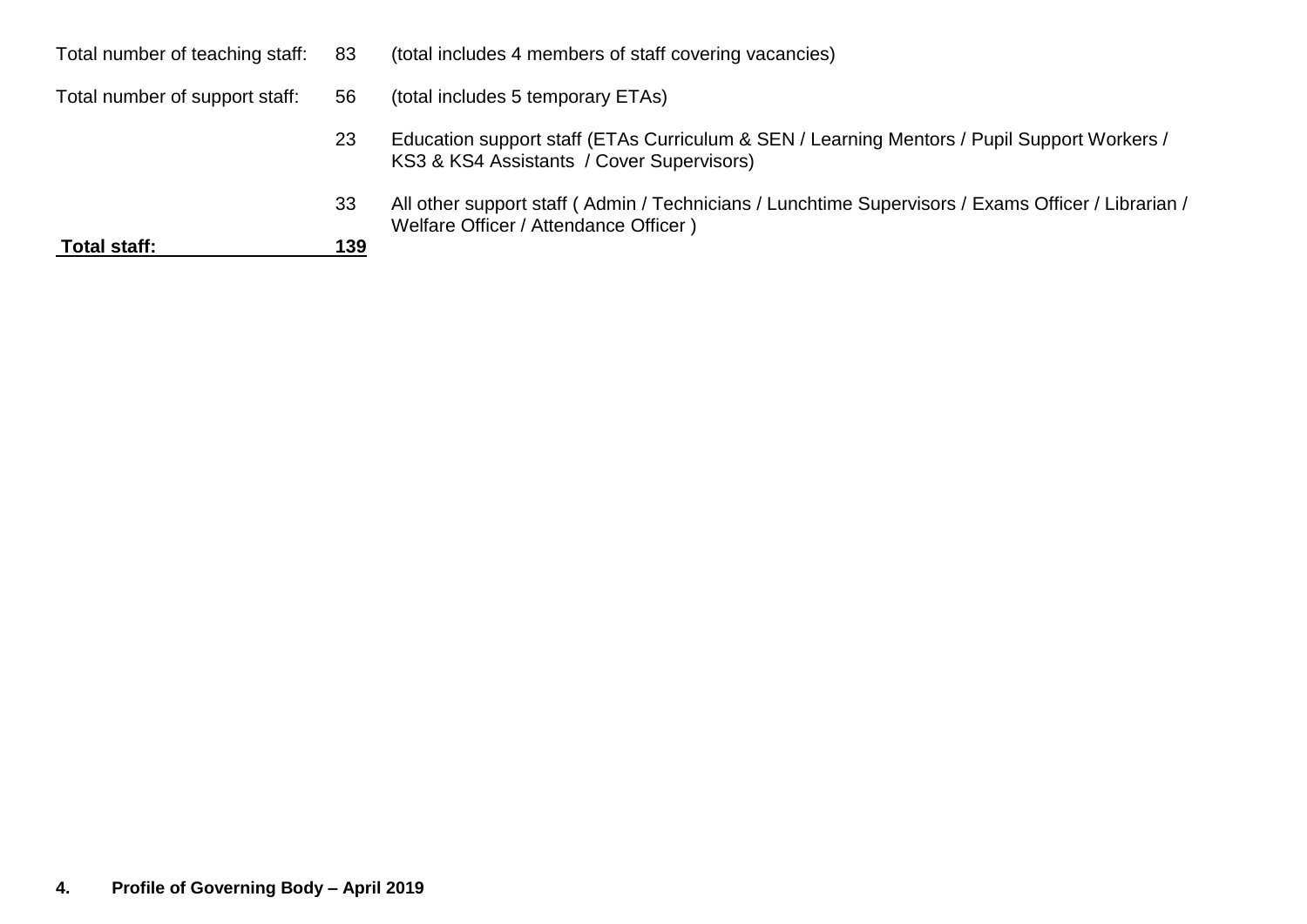| Total number of teaching staff: 83 |     | (total includes 4 members of staff covering vacancies)                                                                                       |
|------------------------------------|-----|----------------------------------------------------------------------------------------------------------------------------------------------|
| Total number of support staff:     | 56  | (total includes 5 temporary ETAs)                                                                                                            |
|                                    | 23  | Education support staff (ETAs Curriculum & SEN / Learning Mentors / Pupil Support Workers /<br>KS3 & KS4 Assistants / Cover Supervisors)     |
|                                    | 33  | All other support staff (Admin / Technicians / Lunchtime Supervisors / Exams Officer / Librarian /<br>Welfare Officer / Attendance Officer ) |
| Total staff:                       | 139 |                                                                                                                                              |